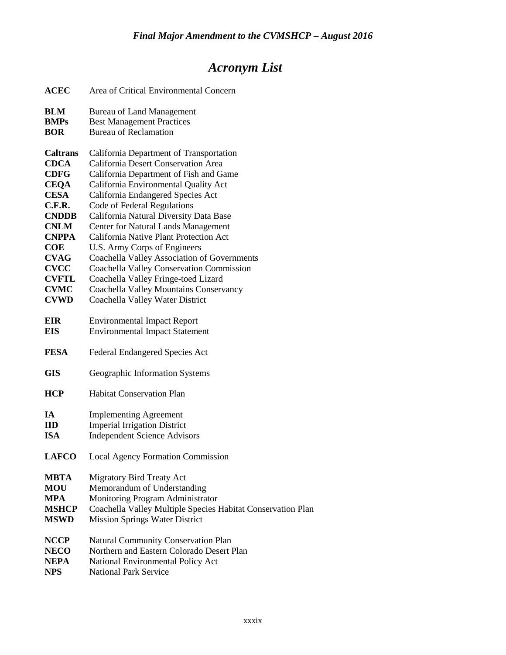## *Acronym List*

| <b>ACEC</b>     | Area of Critical Environmental Concern                      |
|-----------------|-------------------------------------------------------------|
| <b>BLM</b>      | <b>Bureau of Land Management</b>                            |
| <b>BMPs</b>     | <b>Best Management Practices</b>                            |
| <b>BOR</b>      | <b>Bureau of Reclamation</b>                                |
| <b>Caltrans</b> | California Department of Transportation                     |
| <b>CDCA</b>     | California Desert Conservation Area                         |
| <b>CDFG</b>     | California Department of Fish and Game                      |
| <b>CEQA</b>     | California Environmental Quality Act                        |
| <b>CESA</b>     | California Endangered Species Act                           |
| C.F.R.          | Code of Federal Regulations                                 |
| <b>CNDDB</b>    | California Natural Diversity Data Base                      |
| <b>CNLM</b>     | <b>Center for Natural Lands Management</b>                  |
| <b>CNPPA</b>    | California Native Plant Protection Act                      |
| <b>COE</b>      | U.S. Army Corps of Engineers                                |
| <b>CVAG</b>     | Coachella Valley Association of Governments                 |
| <b>CVCC</b>     | <b>Coachella Valley Conservation Commission</b>             |
| <b>CVFTL</b>    | Coachella Valley Fringe-toed Lizard                         |
| <b>CVMC</b>     | Coachella Valley Mountains Conservancy                      |
| <b>CVWD</b>     | Coachella Valley Water District                             |
| <b>EIR</b>      | <b>Environmental Impact Report</b>                          |
| <b>EIS</b>      | <b>Environmental Impact Statement</b>                       |
|                 |                                                             |
| <b>FESA</b>     | <b>Federal Endangered Species Act</b>                       |
| <b>GIS</b>      | Geographic Information Systems                              |
| <b>HCP</b>      | <b>Habitat Conservation Plan</b>                            |
| IA              | <b>Implementing Agreement</b>                               |
| <b>IID</b>      | <b>Imperial Irrigation District</b>                         |
| <b>ISA</b>      | <b>Independent Science Advisors</b>                         |
|                 |                                                             |
| <b>LAFCO</b>    | <b>Local Agency Formation Commission</b>                    |
| <b>MBTA</b>     | <b>Migratory Bird Treaty Act</b>                            |
| <b>MOU</b>      | Memorandum of Understanding                                 |
| <b>MPA</b>      | Monitoring Program Administrator                            |
| <b>MSHCP</b>    | Coachella Valley Multiple Species Habitat Conservation Plan |
| <b>MSWD</b>     | <b>Mission Springs Water District</b>                       |
| <b>NCCP</b>     | Natural Community Conservation Plan                         |
| <b>NECO</b>     | Northern and Eastern Colorado Desert Plan                   |
| NEPA            | National Environmental Policy Act                           |
| <b>NPS</b>      | <b>National Park Service</b>                                |